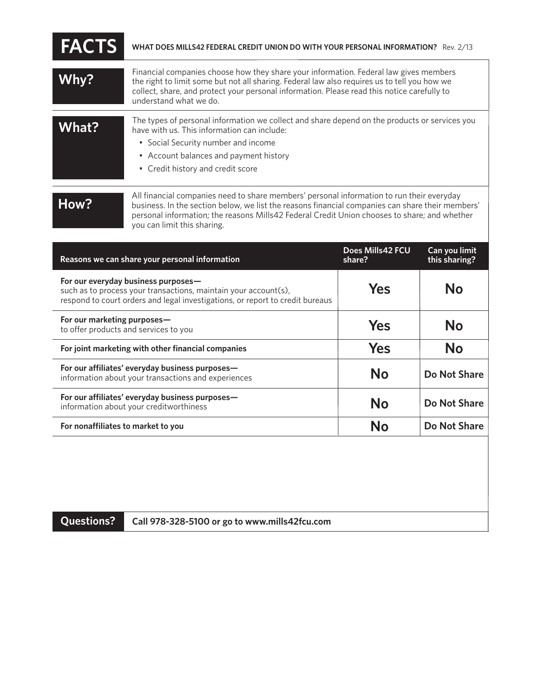| <b>FACTS</b> | WHAT DOES MILLS42 FEDERAL CREDIT UNION DO WITH YOUR PERSONAL INFORMATION? Rev. 2/13                                                                                                                                                                                                                            |
|--------------|----------------------------------------------------------------------------------------------------------------------------------------------------------------------------------------------------------------------------------------------------------------------------------------------------------------|
| Why?         | Financial companies choose how they share your information. Federal law gives members<br>the right to limit some but not all sharing. Federal law also requires us to tell you how we<br>collect, share, and protect your personal information. Please read this notice carefully to<br>understand what we do. |
| What?        | The types of personal information we collect and share depend on the products or services you<br>have with us. This information can include:<br>• Social Security number and income<br>• Account balances and payment history<br>• Credit history and credit score                                             |
| How?         | All financial companies need to share members' personal information to run their everyday<br>business. In the section below, we list the reasons financial companies can share their members'<br>personal information; the reasons Mills42 Federal Credit Union chooses to share; and whether                  |

| Reasons we can share your personal information                                                                                                                                          | Does Mills42 FCU<br>share? | Can you limit<br>this sharing? |
|-----------------------------------------------------------------------------------------------------------------------------------------------------------------------------------------|----------------------------|--------------------------------|
| For our everyday business purposes-<br>such as to process your transactions, maintain your account(s),<br>respond to court orders and legal investigations, or report to credit bureaus | Yes                        | Nο                             |
| For our marketing purposes-<br>to offer products and services to you                                                                                                                    | Yes                        | No                             |
| For joint marketing with other financial companies                                                                                                                                      | Yes                        | <b>No</b>                      |
| For our affiliates' everyday business purposes-<br>information about your transactions and experiences                                                                                  | <b>No</b>                  | Do Not Share                   |
| For our affiliates' everyday business purposes—<br>information about your creditworthiness                                                                                              | Nο                         | Do Not Share                   |
| For nonaffiliates to market to you                                                                                                                                                      | Nο                         | Do Not Share                   |

**Questions? Call 978-328-5100 or go to www.mills42fcu.com**

you can limit this sharing.